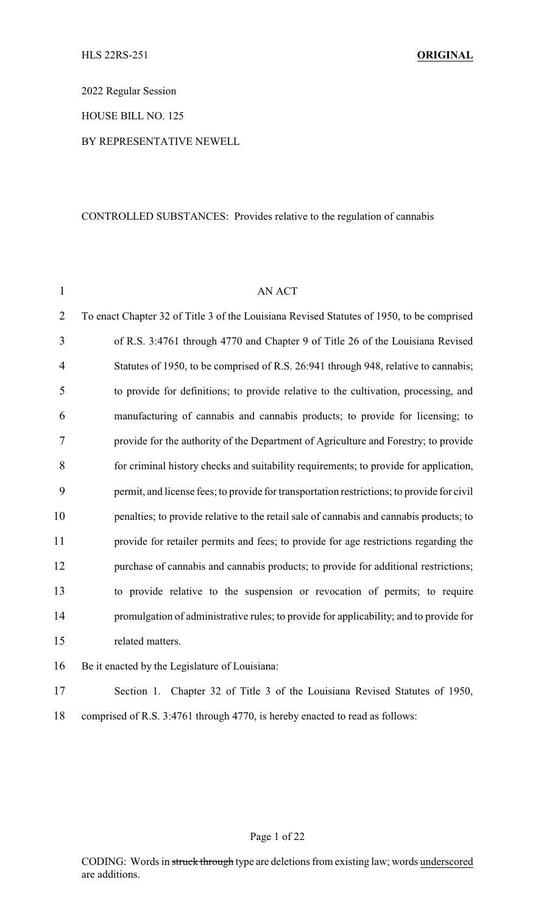2022 Regular Session

HOUSE BILL NO. 125

### BY REPRESENTATIVE NEWELL

### CONTROLLED SUBSTANCES: Provides relative to the regulation of cannabis

| $\mathbf{1}$   | AN ACT                                                                                     |
|----------------|--------------------------------------------------------------------------------------------|
| $\overline{2}$ | To enact Chapter 32 of Title 3 of the Louisiana Revised Statutes of 1950, to be comprised  |
| 3              | of R.S. 3:4761 through 4770 and Chapter 9 of Title 26 of the Louisiana Revised             |
| 4              | Statutes of 1950, to be comprised of R.S. 26:941 through 948, relative to cannabis;        |
| 5              | to provide for definitions; to provide relative to the cultivation, processing, and        |
| 6              | manufacturing of cannabis and cannabis products; to provide for licensing; to              |
| $\tau$         | provide for the authority of the Department of Agriculture and Forestry; to provide        |
| 8              | for criminal history checks and suitability requirements; to provide for application,      |
| 9              | permit, and license fees; to provide for transportation restrictions; to provide for civil |
| 10             | penalties; to provide relative to the retail sale of cannabis and cannabis products; to    |
| 11             | provide for retailer permits and fees; to provide for age restrictions regarding the       |
| 12             | purchase of cannabis and cannabis products; to provide for additional restrictions;        |
| 13             | to provide relative to the suspension or revocation of permits; to require                 |
| 14             | promulgation of administrative rules; to provide for applicability; and to provide for     |
| 15             | related matters.                                                                           |
| 16             | Be it enacted by the Legislature of Louisiana:                                             |

17 Section 1. Chapter 32 of Title 3 of the Louisiana Revised Statutes of 1950, 18 comprised of R.S. 3:4761 through 4770, is hereby enacted to read as follows:

### Page 1 of 22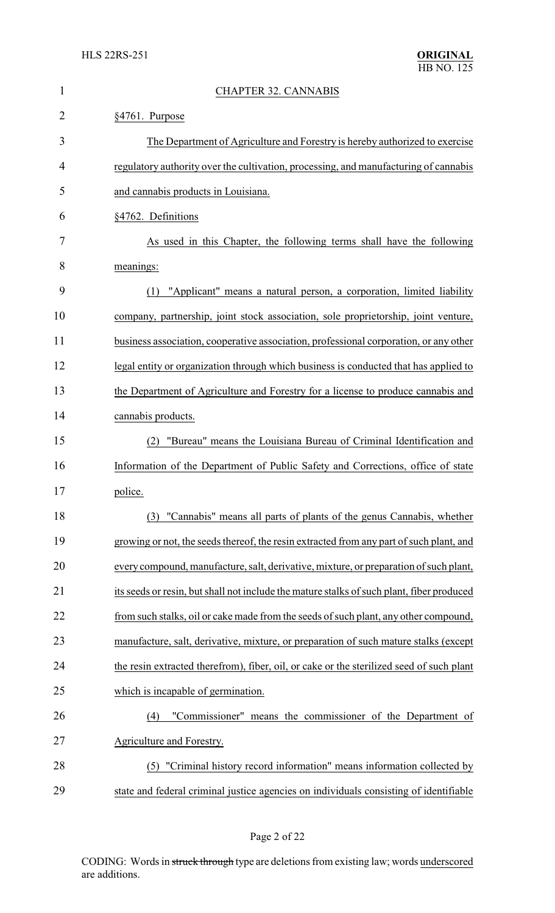| 1              | <b>CHAPTER 32. CANNABIS</b>                                                               |
|----------------|-------------------------------------------------------------------------------------------|
| $\overline{2}$ | §4761. Purpose                                                                            |
| 3              | The Department of Agriculture and Forestry is hereby authorized to exercise               |
| 4              | regulatory authority over the cultivation, processing, and manufacturing of cannabis      |
| 5              | and cannabis products in Louisiana.                                                       |
| 6              | §4762. Definitions                                                                        |
| 7              | As used in this Chapter, the following terms shall have the following                     |
| 8              | meanings:                                                                                 |
| 9              | "Applicant" means a natural person, a corporation, limited liability<br>(1)               |
| 10             | company, partnership, joint stock association, sole proprietorship, joint venture,        |
| 11             | business association, cooperative association, professional corporation, or any other     |
| 12             | legal entity or organization through which business is conducted that has applied to      |
| 13             | the Department of Agriculture and Forestry for a license to produce cannabis and          |
| 14             | cannabis products.                                                                        |
| 15             | "Bureau" means the Louisiana Bureau of Criminal Identification and<br>(2)                 |
| 16             | Information of the Department of Public Safety and Corrections, office of state           |
| 17             | police.                                                                                   |
| 18             | "Cannabis" means all parts of plants of the genus Cannabis, whether<br>(3)                |
| 19             | growing or not, the seeds thereof, the resin extracted from any part of such plant, and   |
| 20             | every compound, manufacture, salt, derivative, mixture, or preparation of such plant,     |
| 21             | its seeds or resin, but shall not include the mature stalks of such plant, fiber produced |
| 22             | from such stalks, oil or cake made from the seeds of such plant, any other compound,      |
| 23             | manufacture, salt, derivative, mixture, or preparation of such mature stalks (except      |
| 24             | the resin extracted therefrom), fiber, oil, or cake or the sterilized seed of such plant  |
| 25             | which is incapable of germination.                                                        |
| 26             | "Commissioner" means the commissioner of the Department of<br>(4)                         |
| 27             | Agriculture and Forestry.                                                                 |
| 28             | (5) "Criminal history record information" means information collected by                  |
| 29             | state and federal criminal justice agencies on individuals consisting of identifiable     |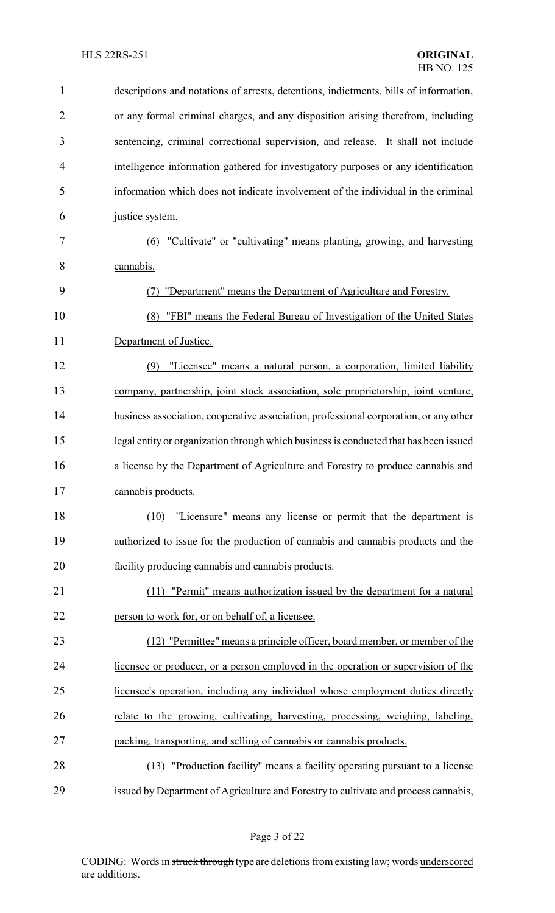| $\mathbf{1}$   | descriptions and notations of arrests, detentions, indictments, bills of information, |
|----------------|---------------------------------------------------------------------------------------|
| $\overline{2}$ | or any formal criminal charges, and any disposition arising therefrom, including      |
| 3              | sentencing, criminal correctional supervision, and release. It shall not include      |
| 4              | intelligence information gathered for investigatory purposes or any identification    |
| 5              | information which does not indicate involvement of the individual in the criminal     |
| 6              | justice system.                                                                       |
| 7              | (6) "Cultivate" or "cultivating" means planting, growing, and harvesting              |
| 8              | cannabis.                                                                             |
| 9              | "Department" means the Department of Agriculture and Forestry.<br>(7)                 |
| 10             | "FBI" means the Federal Bureau of Investigation of the United States<br>(8)           |
| 11             | Department of Justice.                                                                |
| 12             | "Licensee" means a natural person, a corporation, limited liability<br>(9)            |
| 13             | company, partnership, joint stock association, sole proprietorship, joint venture,    |
| 14             | business association, cooperative association, professional corporation, or any other |
| 15             | legal entity or organization through which business is conducted that has been issued |
| 16             | a license by the Department of Agriculture and Forestry to produce cannabis and       |
| 17             | cannabis products.                                                                    |
| 18             | "Licensure" means any license or permit that the department is<br>(10)                |
| 19             | authorized to issue for the production of cannabis and cannabis products and the      |
| 20             | facility producing cannabis and cannabis products.                                    |
| 21             | "Permit" means authorization issued by the department for a natural<br>(11)           |
| 22             | person to work for, or on behalf of, a licensee.                                      |
| 23             | (12) "Permittee" means a principle officer, board member, or member of the            |
| 24             | licensee or producer, or a person employed in the operation or supervision of the     |
| 25             | licensee's operation, including any individual whose employment duties directly       |
| 26             | relate to the growing, cultivating, harvesting, processing, weighing, labeling,       |
| 27             | packing, transporting, and selling of cannabis or cannabis products.                  |
| 28             | "Production facility" means a facility operating pursuant to a license<br>(13)        |
| 29             | issued by Department of Agriculture and Forestry to cultivate and process cannabis,   |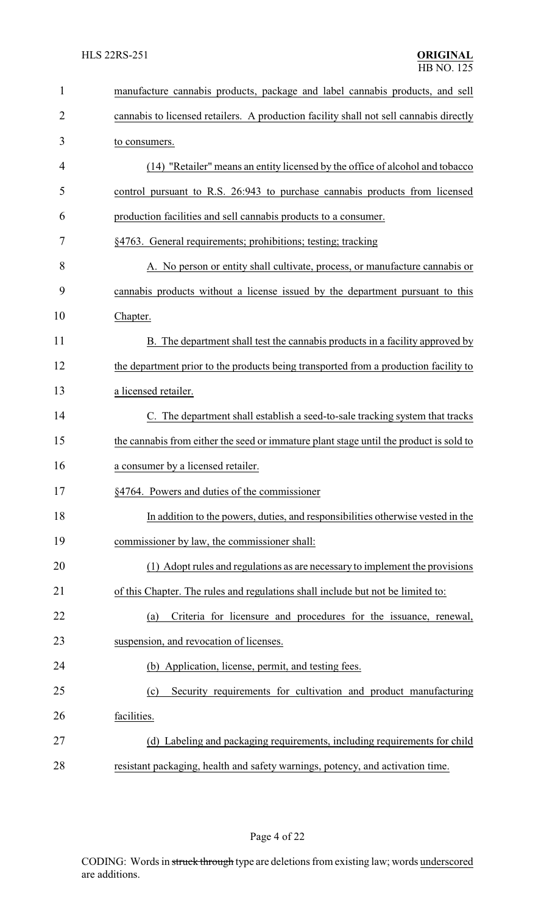| $\mathbf{1}$   | manufacture cannabis products, package and label cannabis products, and sell           |
|----------------|----------------------------------------------------------------------------------------|
| $\overline{2}$ | cannabis to licensed retailers. A production facility shall not sell cannabis directly |
| 3              | to consumers.                                                                          |
| 4              | (14) "Retailer" means an entity licensed by the office of alcohol and tobacco          |
| 5              | control pursuant to R.S. 26:943 to purchase cannabis products from licensed            |
| 6              | production facilities and sell cannabis products to a consumer.                        |
| 7              | §4763. General requirements; prohibitions; testing; tracking                           |
| 8              | A. No person or entity shall cultivate, process, or manufacture cannabis or            |
| 9              | cannabis products without a license issued by the department pursuant to this          |
| 10             | Chapter.                                                                               |
| 11             | B. The department shall test the cannabis products in a facility approved by           |
| 12             | the department prior to the products being transported from a production facility to   |
| 13             | a licensed retailer.                                                                   |
| 14             | C. The department shall establish a seed-to-sale tracking system that tracks           |
| 15             | the cannabis from either the seed or immature plant stage until the product is sold to |
| 16             | a consumer by a licensed retailer.                                                     |
| 17             | §4764. Powers and duties of the commissioner                                           |
| 18             | In addition to the powers, duties, and responsibilities otherwise vested in the        |
| 19             | commissioner by law, the commissioner shall:                                           |
| 20             | (1) Adopt rules and regulations as are necessary to implement the provisions           |
| 21             | of this Chapter. The rules and regulations shall include but not be limited to:        |
| 22             | Criteria for licensure and procedures for the issuance, renewal,<br>(a)                |
| 23             | suspension, and revocation of licenses.                                                |
| 24             | (b) Application, license, permit, and testing fees.                                    |
| 25             | Security requirements for cultivation and product manufacturing<br>(c)                 |
| 26             | facilities.                                                                            |
| 27             | (d) Labeling and packaging requirements, including requirements for child              |
| 28             | resistant packaging, health and safety warnings, potency, and activation time.         |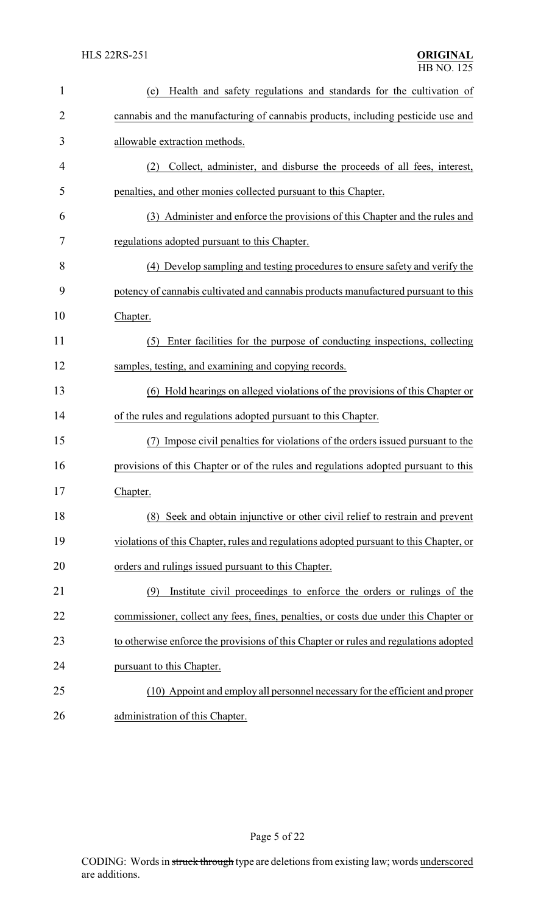| $\mathbf{1}$ | Health and safety regulations and standards for the cultivation of<br>(e)              |
|--------------|----------------------------------------------------------------------------------------|
| 2            | cannabis and the manufacturing of cannabis products, including pesticide use and       |
| 3            | allowable extraction methods.                                                          |
| 4            | Collect, administer, and disburse the proceeds of all fees, interest,<br>(2)           |
| 5            | penalties, and other monies collected pursuant to this Chapter.                        |
| 6            | (3) Administer and enforce the provisions of this Chapter and the rules and            |
| 7            | regulations adopted pursuant to this Chapter.                                          |
| 8            | (4) Develop sampling and testing procedures to ensure safety and verify the            |
| 9            | potency of cannabis cultivated and cannabis products manufactured pursuant to this     |
| 10           | Chapter.                                                                               |
| 11           | Enter facilities for the purpose of conducting inspections, collecting<br>(5)          |
| 12           | samples, testing, and examining and copying records.                                   |
| 13           | (6) Hold hearings on alleged violations of the provisions of this Chapter or           |
| 14           | of the rules and regulations adopted pursuant to this Chapter.                         |
| 15           | Impose civil penalties for violations of the orders issued pursuant to the<br>(7)      |
| 16           | provisions of this Chapter or of the rules and regulations adopted pursuant to this    |
| 17           | Chapter.                                                                               |
| 18           | Seek and obtain injunctive or other civil relief to restrain and prevent<br>(8)        |
| 19           | violations of this Chapter, rules and regulations adopted pursuant to this Chapter, or |
| 20           | orders and rulings issued pursuant to this Chapter.                                    |
| 21           | Institute civil proceedings to enforce the orders or rulings of the<br>(9)             |
| 22           | commissioner, collect any fees, fines, penalties, or costs due under this Chapter or   |
| 23           | to otherwise enforce the provisions of this Chapter or rules and regulations adopted   |
| 24           | pursuant to this Chapter.                                                              |
| 25           | (10) Appoint and employ all personnel necessary for the efficient and proper           |
| 26           | administration of this Chapter.                                                        |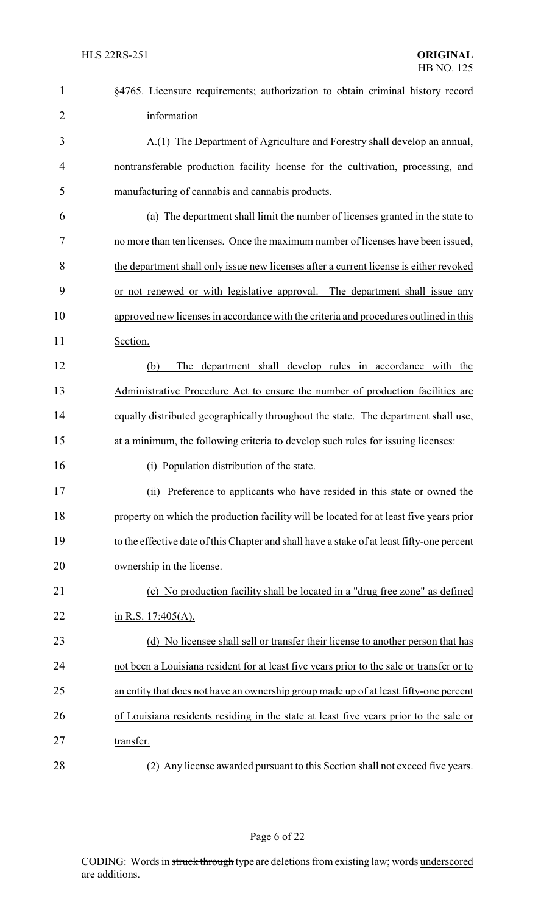| $\mathbf{1}$   | §4765. Licensure requirements; authorization to obtain criminal history record             |
|----------------|--------------------------------------------------------------------------------------------|
| $\overline{2}$ | information                                                                                |
| 3              | A.(1) The Department of Agriculture and Forestry shall develop an annual,                  |
| 4              | nontransferable production facility license for the cultivation, processing, and           |
| 5              | manufacturing of cannabis and cannabis products.                                           |
| 6              | (a) The department shall limit the number of licenses granted in the state to              |
| 7              | no more than ten licenses. Once the maximum number of licenses have been issued,           |
| 8              | the department shall only issue new licenses after a current license is either revoked     |
| 9              | or not renewed or with legislative approval. The department shall issue any                |
| 10             | approved new licenses in accordance with the criteria and procedures outlined in this      |
| 11             | Section.                                                                                   |
| 12             | The department shall develop rules in accordance with the<br>(b)                           |
| 13             | Administrative Procedure Act to ensure the number of production facilities are             |
| 14             | equally distributed geographically throughout the state. The department shall use,         |
| 15             | at a minimum, the following criteria to develop such rules for issuing licenses:           |
| 16             | Population distribution of the state.<br>(i)                                               |
| 17             | (ii) Preference to applicants who have resided in this state or owned the                  |
| 18             | property on which the production facility will be located for at least five years prior    |
| 19             | to the effective date of this Chapter and shall have a stake of at least fifty-one percent |
| 20             | ownership in the license.                                                                  |
| 21             | (c) No production facility shall be located in a "drug free zone" as defined               |
| 22             | in R.S. $17:405(A)$ .                                                                      |
| 23             | (d) No licensee shall sell or transfer their license to another person that has            |
| 24             | not been a Louisiana resident for at least five years prior to the sale or transfer or to  |
| 25             | an entity that does not have an ownership group made up of at least fifty-one percent      |
| 26             | of Louisiana residents residing in the state at least five years prior to the sale or      |
| 27             | transfer.                                                                                  |
| 28             | (2) Any license awarded pursuant to this Section shall not exceed five years.              |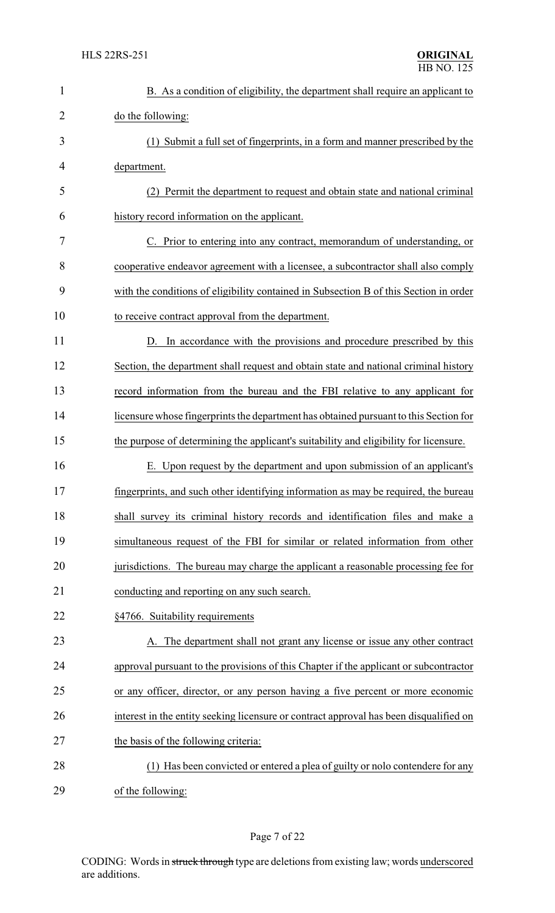| $\mathbf{1}$   | B. As a condition of eligibility, the department shall require an applicant to         |
|----------------|----------------------------------------------------------------------------------------|
| $\overline{2}$ | do the following:                                                                      |
| 3              | (1) Submit a full set of fingerprints, in a form and manner prescribed by the          |
| 4              | department.                                                                            |
| 5              | (2) Permit the department to request and obtain state and national criminal            |
| 6              | history record information on the applicant.                                           |
| 7              | C. Prior to entering into any contract, memorandum of understanding, or                |
| 8              | cooperative endeavor agreement with a licensee, a subcontractor shall also comply      |
| 9              | with the conditions of eligibility contained in Subsection B of this Section in order  |
| 10             | to receive contract approval from the department.                                      |
| 11             | D. In accordance with the provisions and procedure prescribed by this                  |
| 12             | Section, the department shall request and obtain state and national criminal history   |
| 13             | record information from the bureau and the FBI relative to any applicant for           |
| 14             | licensure whose fingerprints the department has obtained pursuant to this Section for  |
| 15             | the purpose of determining the applicant's suitability and eligibility for licensure.  |
| 16             | E. Upon request by the department and upon submission of an applicant's                |
| 17             | fingerprints, and such other identifying information as may be required, the bureau    |
| 18             | shall survey its criminal history records and identification files and make a          |
| 19             | simultaneous request of the FBI for similar or related information from other          |
| 20             | jurisdictions. The bureau may charge the applicant a reasonable processing fee for     |
| 21             | conducting and reporting on any such search.                                           |
| 22             | §4766. Suitability requirements                                                        |
| 23             | A. The department shall not grant any license or issue any other contract              |
| 24             | approval pursuant to the provisions of this Chapter if the applicant or subcontractor  |
| 25             | or any officer, director, or any person having a five percent or more economic         |
| 26             | interest in the entity seeking licensure or contract approval has been disqualified on |
| 27             | the basis of the following criteria:                                                   |
| 28             | (1) Has been convicted or entered a plea of guilty or nolo contendere for any          |
| 29             | of the following:                                                                      |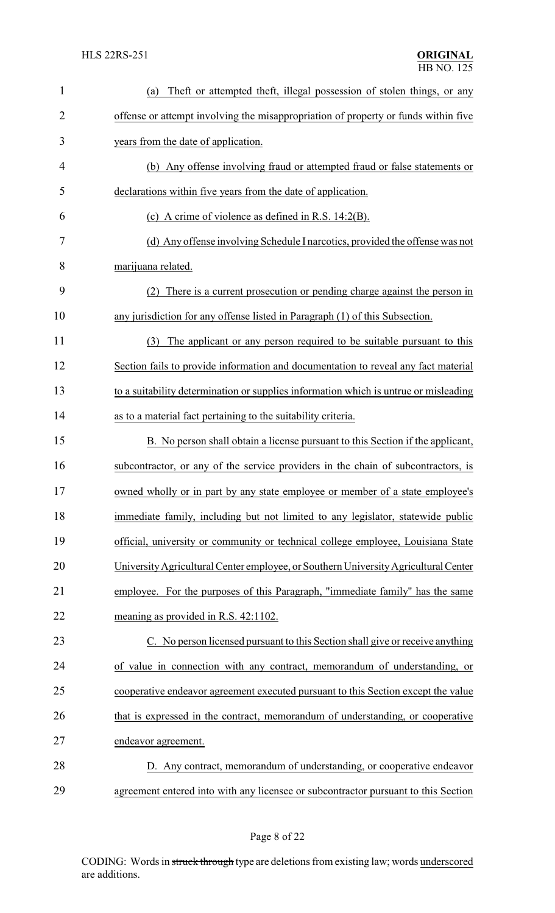| $\mathbf{1}$ | Theft or attempted theft, illegal possession of stolen things, or any<br>(a)         |
|--------------|--------------------------------------------------------------------------------------|
| 2            | offense or attempt involving the misappropriation of property or funds within five   |
| 3            | years from the date of application.                                                  |
| 4            | (b) Any offense involving fraud or attempted fraud or false statements or            |
| 5            | declarations within five years from the date of application.                         |
| 6            | (c) A crime of violence as defined in R.S. $14:2(B)$ .                               |
| 7            | (d) Any offense involving Schedule I narcotics, provided the offense was not         |
| 8            | marijuana related.                                                                   |
| 9            | There is a current prosecution or pending charge against the person in<br>(2)        |
| 10           | any jurisdiction for any offense listed in Paragraph (1) of this Subsection.         |
| 11           | The applicant or any person required to be suitable pursuant to this<br>(3)          |
| 12           | Section fails to provide information and documentation to reveal any fact material   |
| 13           | to a suitability determination or supplies information which is untrue or misleading |
| 14           | as to a material fact pertaining to the suitability criteria.                        |
| 15           | B. No person shall obtain a license pursuant to this Section if the applicant,       |
| 16           | subcontractor, or any of the service providers in the chain of subcontractors, is    |
| 17           | owned wholly or in part by any state employee or member of a state employee's        |
| 18           | immediate family, including but not limited to any legislator, statewide public      |
| 19           | official, university or community or technical college employee, Louisiana State     |
| 20           | University Agricultural Center employee, or Southern University Agricultural Center  |
| 21           | employee. For the purposes of this Paragraph, "immediate family" has the same        |
| 22           | meaning as provided in R.S. 42:1102.                                                 |
| 23           | C. No person licensed pursuant to this Section shall give or receive anything        |
| 24           | of value in connection with any contract, memorandum of understanding, or            |
| 25           | cooperative endeavor agreement executed pursuant to this Section except the value    |
| 26           | that is expressed in the contract, memorandum of understanding, or cooperative       |
| 27           | endeavor agreement.                                                                  |
| 28           | D. Any contract, memorandum of understanding, or cooperative endeavor                |
| 29           | agreement entered into with any licensee or subcontractor pursuant to this Section   |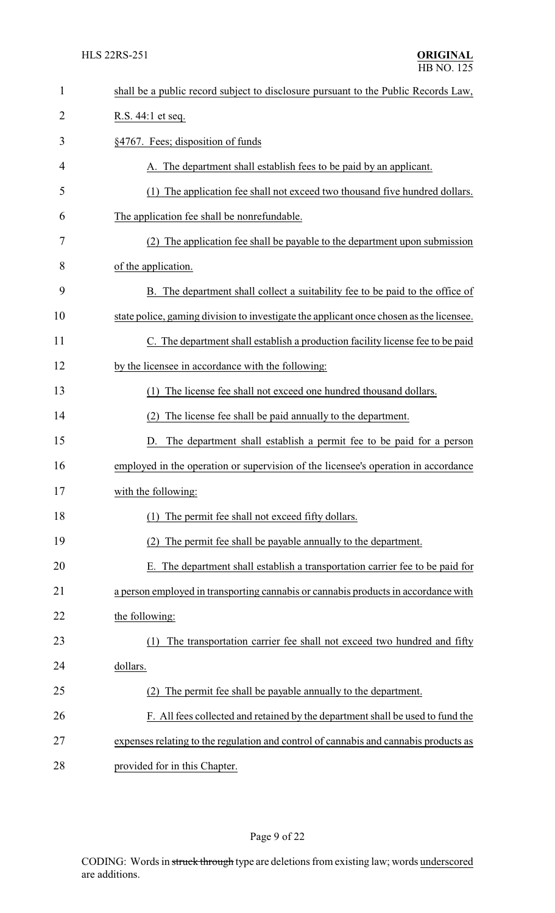| 1              | shall be a public record subject to disclosure pursuant to the Public Records Law,      |
|----------------|-----------------------------------------------------------------------------------------|
| $\overline{2}$ | R.S. 44:1 et seq.                                                                       |
| 3              | §4767. Fees; disposition of funds                                                       |
| 4              | A. The department shall establish fees to be paid by an applicant.                      |
| 5              | (1) The application fee shall not exceed two thousand five hundred dollars.             |
| 6              | The application fee shall be nonrefundable.                                             |
| 7              | The application fee shall be payable to the department upon submission                  |
| 8              | of the application.                                                                     |
| 9              | B. The department shall collect a suitability fee to be paid to the office of           |
| 10             | state police, gaming division to investigate the applicant once chosen as the licensee. |
| 11             | C. The department shall establish a production facility license fee to be paid          |
| 12             | by the licensee in accordance with the following:                                       |
| 13             | The license fee shall not exceed one hundred thousand dollars.<br>(1)                   |
| 14             | The license fee shall be paid annually to the department.<br>(2)                        |
| 15             | The department shall establish a permit fee to be paid for a person<br>D.               |
| 16             | employed in the operation or supervision of the licensee's operation in accordance      |
| 17             | with the following:                                                                     |
| 18             | The permit fee shall not exceed fifty dollars.                                          |
| 19             | The permit fee shall be payable annually to the department.                             |
| 20             | E. The department shall establish a transportation carrier fee to be paid for           |
| 21             | a person employed in transporting cannabis or cannabis products in accordance with      |
| 22             | the following:                                                                          |
| 23             | The transportation carrier fee shall not exceed two hundred and fifty                   |
| 24             | dollars.                                                                                |
| 25             | The permit fee shall be payable annually to the department.<br>(2)                      |
| 26             | F. All fees collected and retained by the department shall be used to fund the          |
| 27             | expenses relating to the regulation and control of cannabis and cannabis products as    |
| 28             | provided for in this Chapter.                                                           |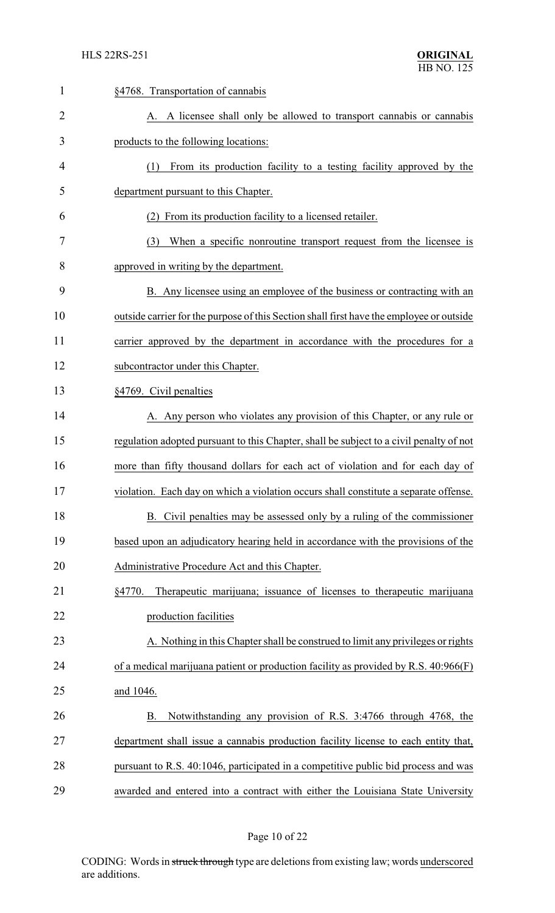| 1              | §4768. Transportation of cannabis                                                        |
|----------------|------------------------------------------------------------------------------------------|
| $\overline{2}$ | A. A licensee shall only be allowed to transport cannabis or cannabis                    |
| 3              | products to the following locations:                                                     |
| 4              | From its production facility to a testing facility approved by the<br>(1)                |
| 5              | department pursuant to this Chapter.                                                     |
| 6              | From its production facility to a licensed retailer.<br>(2)                              |
| 7              | When a specific nonroutine transport request from the licensee is<br>(3)                 |
| 8              | approved in writing by the department.                                                   |
| 9              | B. Any licensee using an employee of the business or contracting with an                 |
| 10             | outside carrier for the purpose of this Section shall first have the employee or outside |
| 11             | carrier approved by the department in accordance with the procedures for a               |
| 12             | subcontractor under this Chapter.                                                        |
| 13             | §4769. Civil penalties                                                                   |
| 14             | A. Any person who violates any provision of this Chapter, or any rule or                 |
| 15             | regulation adopted pursuant to this Chapter, shall be subject to a civil penalty of not  |
| 16             | more than fifty thousand dollars for each act of violation and for each day of           |
| 17             | violation. Each day on which a violation occurs shall constitute a separate offense.     |
| 18             | B. Civil penalties may be assessed only by a ruling of the commissioner                  |
| 19             | based upon an adjudicatory hearing held in accordance with the provisions of the         |
| 20             | Administrative Procedure Act and this Chapter.                                           |
| 21             | Therapeutic marijuana; issuance of licenses to therapeutic marijuana<br>§4770.           |
| 22             | production facilities                                                                    |
| 23             | A. Nothing in this Chapter shall be construed to limit any privileges or rights          |
| 24             | of a medical marijuana patient or production facility as provided by R.S. $40:966(F)$    |
| 25             | and 1046.                                                                                |
| 26             | Notwithstanding any provision of R.S. 3:4766 through 4768, the<br>В.                     |
| 27             | department shall issue a cannabis production facility license to each entity that,       |
| 28             | pursuant to R.S. 40:1046, participated in a competitive public bid process and was       |
| 29             | awarded and entered into a contract with either the Louisiana State University           |

# Page 10 of 22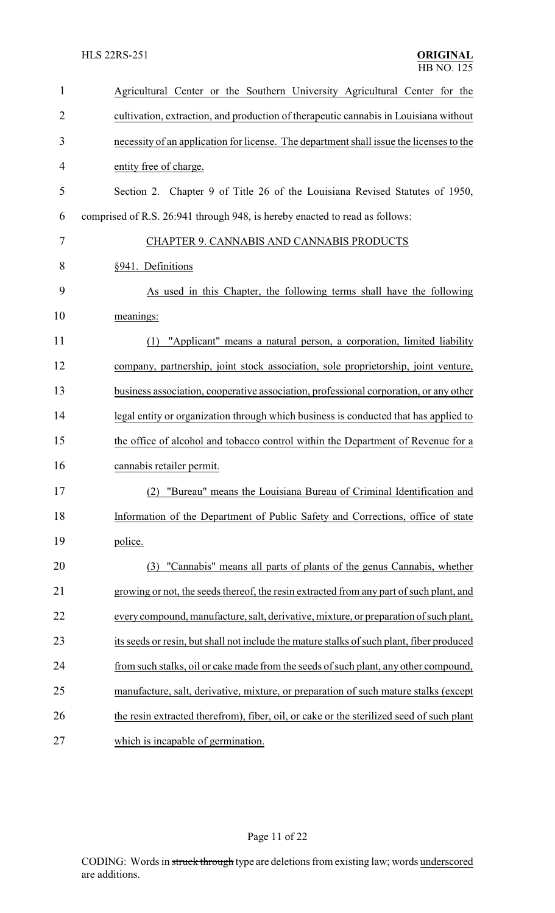| $\mathbf{1}$   | Agricultural Center or the Southern University Agricultural Center for the                |
|----------------|-------------------------------------------------------------------------------------------|
| $\overline{2}$ | cultivation, extraction, and production of therapeutic cannabis in Louisiana without      |
| 3              | necessity of an application for license. The department shall issue the licenses to the   |
| $\overline{4}$ | entity free of charge.                                                                    |
| 5              | Section 2. Chapter 9 of Title 26 of the Louisiana Revised Statutes of 1950,               |
| 6              | comprised of R.S. 26:941 through 948, is hereby enacted to read as follows:               |
| 7              | CHAPTER 9. CANNABIS AND CANNABIS PRODUCTS                                                 |
| 8              | §941. Definitions                                                                         |
| 9              | As used in this Chapter, the following terms shall have the following                     |
| 10             | meanings:                                                                                 |
| 11             | "Applicant" means a natural person, a corporation, limited liability<br>(1)               |
| 12             | company, partnership, joint stock association, sole proprietorship, joint venture,        |
| 13             | business association, cooperative association, professional corporation, or any other     |
| 14             | legal entity or organization through which business is conducted that has applied to      |
| 15             | the office of alcohol and tobacco control within the Department of Revenue for a          |
| 16             | cannabis retailer permit.                                                                 |
| 17             | (2) "Bureau" means the Louisiana Bureau of Criminal Identification and                    |
| 18             | Information of the Department of Public Safety and Corrections, office of state           |
| 19             | police.                                                                                   |
| 20             | "Cannabis" means all parts of plants of the genus Cannabis, whether<br>(3)                |
| 21             | growing or not, the seeds thereof, the resin extracted from any part of such plant, and   |
| 22             | every compound, manufacture, salt, derivative, mixture, or preparation of such plant,     |
| 23             | its seeds or resin, but shall not include the mature stalks of such plant, fiber produced |
| 24             | from such stalks, oil or cake made from the seeds of such plant, any other compound,      |
| 25             | manufacture, salt, derivative, mixture, or preparation of such mature stalks (except      |
| 26             | the resin extracted therefrom), fiber, oil, or cake or the sterilized seed of such plant  |
| 27             | which is incapable of germination.                                                        |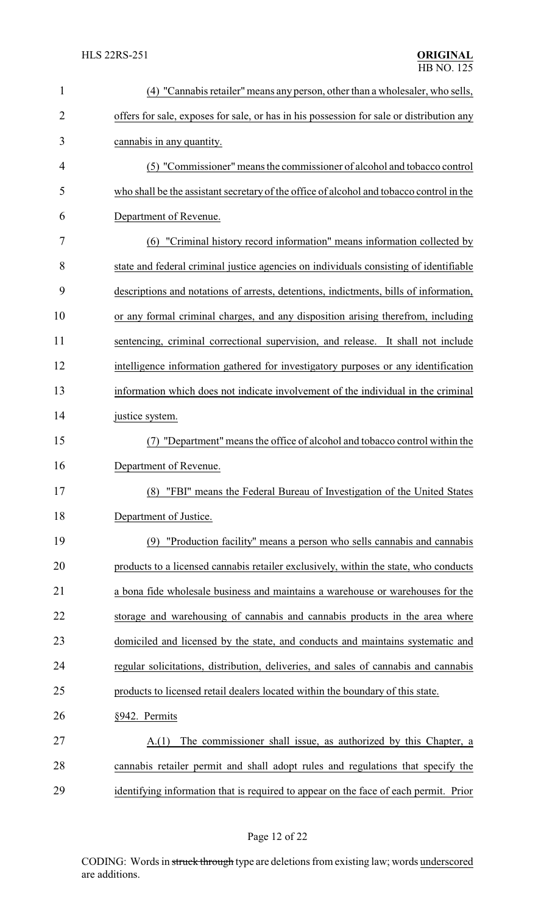| 1              | (4) "Cannabis retailer" means any person, other than a wholesaler, who sells,            |
|----------------|------------------------------------------------------------------------------------------|
| $\overline{2}$ | offers for sale, exposes for sale, or has in his possession for sale or distribution any |
| 3              | cannabis in any quantity.                                                                |
| 4              | (5) "Commissioner" means the commissioner of alcohol and tobacco control                 |
| 5              | who shall be the assistant secretary of the office of alcohol and tobacco control in the |
| 6              | Department of Revenue.                                                                   |
| 7              | (6) "Criminal history record information" means information collected by                 |
| 8              | state and federal criminal justice agencies on individuals consisting of identifiable    |
| 9              | descriptions and notations of arrests, detentions, indictments, bills of information,    |
| 10             | or any formal criminal charges, and any disposition arising therefrom, including         |
| 11             | sentencing, criminal correctional supervision, and release. It shall not include         |
| 12             | intelligence information gathered for investigatory purposes or any identification       |
| 13             | information which does not indicate involvement of the individual in the criminal        |
| 14             | justice system.                                                                          |
| 15             | "Department" means the office of alcohol and tobacco control within the                  |
| 16             | Department of Revenue.                                                                   |
| 17             | (8) "FBI" means the Federal Bureau of Investigation of the United States                 |
| 18             | Department of Justice.                                                                   |
| 19             | (9) "Production facility" means a person who sells cannabis and cannabis                 |
| 20             | products to a licensed cannabis retailer exclusively, within the state, who conducts     |
| 21             | a bona fide wholesale business and maintains a warehouse or warehouses for the           |
| 22             | storage and warehousing of cannabis and cannabis products in the area where              |
| 23             | domiciled and licensed by the state, and conducts and maintains systematic and           |
| 24             | regular solicitations, distribution, deliveries, and sales of cannabis and cannabis      |
| 25             | products to licensed retail dealers located within the boundary of this state.           |
| 26             | §942. Permits                                                                            |
| 27             | The commissioner shall issue, as authorized by this Chapter, a<br>A(1)                   |
| 28             | cannabis retailer permit and shall adopt rules and regulations that specify the          |
| 29             | identifying information that is required to appear on the face of each permit. Prior     |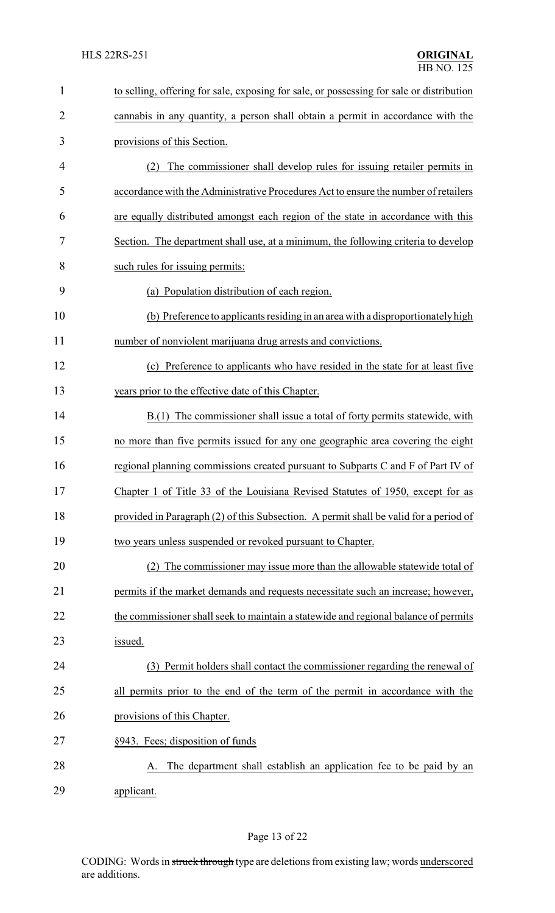| $\mathbf{1}$   | to selling, offering for sale, exposing for sale, or possessing for sale or distribution |  |  |
|----------------|------------------------------------------------------------------------------------------|--|--|
| $\overline{c}$ | cannabis in any quantity, a person shall obtain a permit in accordance with the          |  |  |
| 3              | provisions of this Section.                                                              |  |  |
| 4              | The commissioner shall develop rules for issuing retailer permits in<br>(2)              |  |  |
| 5              | accordance with the Administrative Procedures Act to ensure the number of retailers      |  |  |
| 6              | are equally distributed amongst each region of the state in accordance with this         |  |  |
| 7              | Section. The department shall use, at a minimum, the following criteria to develop       |  |  |
| 8              | such rules for issuing permits:                                                          |  |  |
| 9              | (a) Population distribution of each region.                                              |  |  |
| 10             | (b) Preference to applicants residing in an area with a disproportionately high          |  |  |
| 11             | number of nonviolent marijuana drug arrests and convictions.                             |  |  |
| 12             | (c) Preference to applicants who have resided in the state for at least five             |  |  |
| 13             | years prior to the effective date of this Chapter.                                       |  |  |
| 14             | B.(1) The commissioner shall issue a total of forty permits statewide, with              |  |  |
| 15             | no more than five permits issued for any one geographic area covering the eight          |  |  |
| 16             | regional planning commissions created pursuant to Subparts C and F of Part IV of         |  |  |
| 17             | Chapter 1 of Title 33 of the Louisiana Revised Statutes of 1950, except for as           |  |  |
| 18             | provided in Paragraph (2) of this Subsection. A permit shall be valid for a period of    |  |  |
| 19             | two years unless suspended or revoked pursuant to Chapter.                               |  |  |
| 20             | The commissioner may issue more than the allowable statewide total of<br>(2)             |  |  |
| 21             | permits if the market demands and requests necessitate such an increase; however,        |  |  |
| 22             | the commissioner shall seek to maintain a statewide and regional balance of permits      |  |  |
| 23             | issued.                                                                                  |  |  |
| 24             | (3) Permit holders shall contact the commissioner regarding the renewal of               |  |  |
| 25             | all permits prior to the end of the term of the permit in accordance with the            |  |  |
| 26             | provisions of this Chapter.                                                              |  |  |
| 27             | §943. Fees; disposition of funds                                                         |  |  |
| 28             | The department shall establish an application fee to be paid by an                       |  |  |
| 29             | applicant.                                                                               |  |  |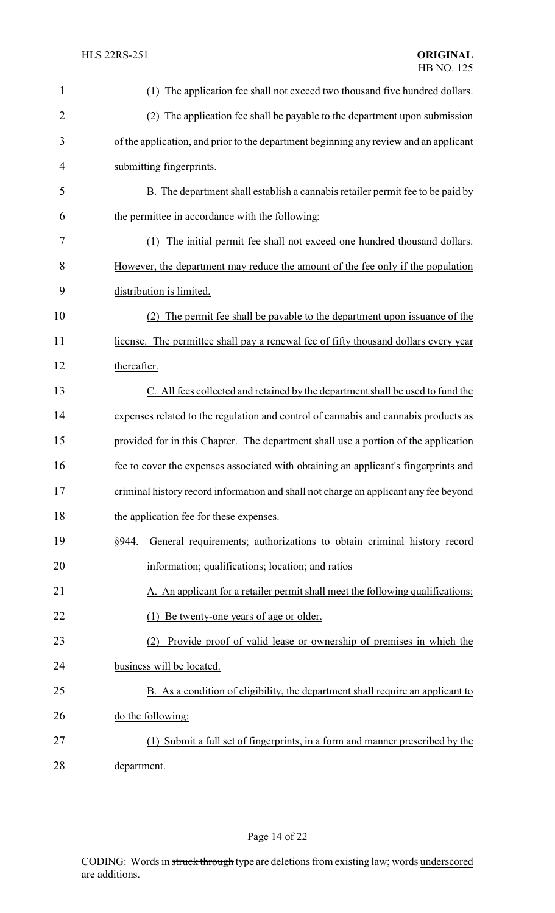| $\mathbf{1}$   | The application fee shall not exceed two thousand five hundred dollars.<br>(1)        |
|----------------|---------------------------------------------------------------------------------------|
| $\overline{c}$ | (2) The application fee shall be payable to the department upon submission            |
| 3              | of the application, and prior to the department beginning any review and an applicant |
| 4              | submitting fingerprints.                                                              |
| 5              | B. The department shall establish a cannabis retailer permit fee to be paid by        |
| 6              | the permittee in accordance with the following:                                       |
| 7              | The initial permit fee shall not exceed one hundred thousand dollars.<br>(1)          |
| 8              | However, the department may reduce the amount of the fee only if the population       |
| 9              | distribution is limited.                                                              |
| 10             | The permit fee shall be payable to the department upon issuance of the                |
| 11             | license. The permittee shall pay a renewal fee of fifty thousand dollars every year   |
| 12             | thereafter.                                                                           |
| 13             | C. All fees collected and retained by the department shall be used to fund the        |
| 14             | expenses related to the regulation and control of cannabis and cannabis products as   |
| 15             | provided for in this Chapter. The department shall use a portion of the application   |
| 16             | fee to cover the expenses associated with obtaining an applicant's fingerprints and   |
| 17             | criminal history record information and shall not charge an applicant any fee beyond  |
| 18             | the application fee for these expenses.                                               |
| 19             | General requirements; authorizations to obtain criminal history record<br>§944.       |
| 20             | information; qualifications; location; and ratios                                     |
| 21             | A. An applicant for a retailer permit shall meet the following qualifications:        |
| 22             | (1) Be twenty-one years of age or older.                                              |
| 23             | Provide proof of valid lease or ownership of premises in which the<br>(2)             |
| 24             | business will be located.                                                             |
| 25             | B. As a condition of eligibility, the department shall require an applicant to        |
| 26             | do the following:                                                                     |
| 27             | (1) Submit a full set of fingerprints, in a form and manner prescribed by the         |
| 28             | department.                                                                           |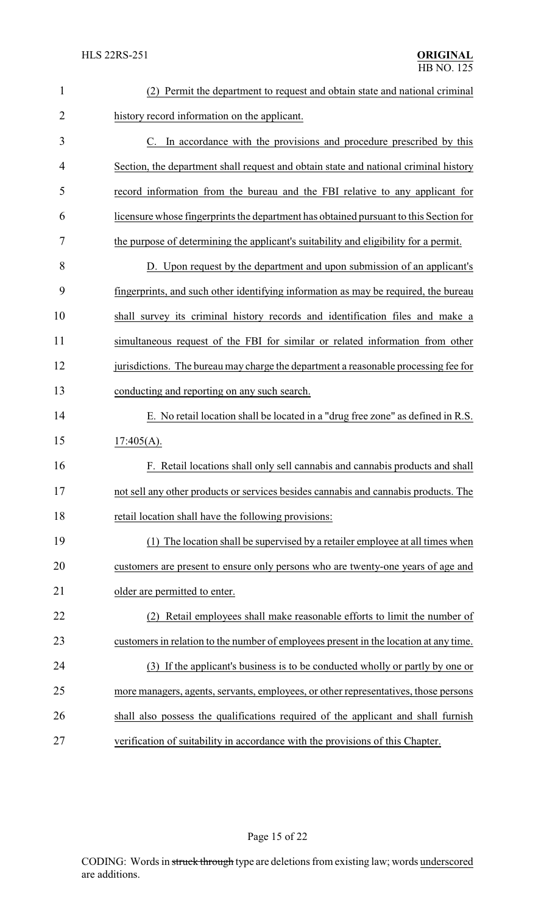| 1              | (2) Permit the department to request and obtain state and national criminal           |  |
|----------------|---------------------------------------------------------------------------------------|--|
| $\overline{2}$ | history record information on the applicant.                                          |  |
| 3              | C. In accordance with the provisions and procedure prescribed by this                 |  |
| 4              | Section, the department shall request and obtain state and national criminal history  |  |
| 5              | record information from the bureau and the FBI relative to any applicant for          |  |
| 6              | licensure whose fingerprints the department has obtained pursuant to this Section for |  |
| 7              | the purpose of determining the applicant's suitability and eligibility for a permit.  |  |
| 8              | D. Upon request by the department and upon submission of an applicant's               |  |
| 9              | fingerprints, and such other identifying information as may be required, the bureau   |  |
| 10             | shall survey its criminal history records and identification files and make a         |  |
| 11             | simultaneous request of the FBI for similar or related information from other         |  |
| 12             | jurisdictions. The bureau may charge the department a reasonable processing fee for   |  |
| 13             | conducting and reporting on any such search.                                          |  |
| 14             | E. No retail location shall be located in a "drug free zone" as defined in R.S.       |  |
| 15             | $17:405(A)$ .                                                                         |  |
| 16             | F. Retail locations shall only sell cannabis and cannabis products and shall          |  |
| 17             | not sell any other products or services besides cannabis and cannabis products. The   |  |
| 18             | retail location shall have the following provisions:                                  |  |
| 19             | The location shall be supervised by a retailer employee at all times when             |  |
| 20             | customers are present to ensure only persons who are twenty-one years of age and      |  |
| 21             | older are permitted to enter.                                                         |  |
| 22             | Retail employees shall make reasonable efforts to limit the number of<br>(2)          |  |
| 23             | customers in relation to the number of employees present in the location at any time. |  |
| 24             | (3) If the applicant's business is to be conducted wholly or partly by one or         |  |
| 25             | more managers, agents, servants, employees, or other representatives, those persons   |  |
| 26             | shall also possess the qualifications required of the applicant and shall furnish     |  |
| 27             | verification of suitability in accordance with the provisions of this Chapter.        |  |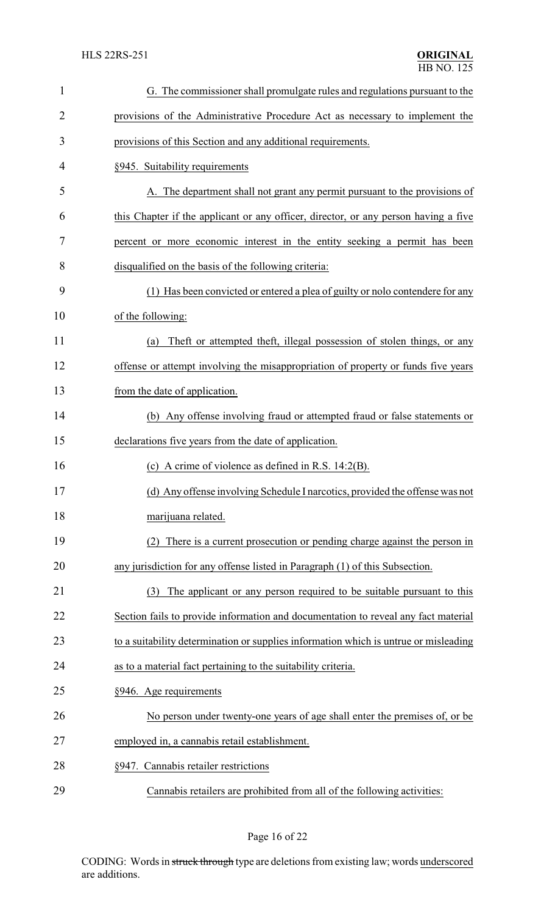| $\mathbf{1}$   | G. The commissioner shall promulgate rules and regulations pursuant to the           |  |  |
|----------------|--------------------------------------------------------------------------------------|--|--|
| $\overline{2}$ | provisions of the Administrative Procedure Act as necessary to implement the         |  |  |
| 3              | provisions of this Section and any additional requirements.                          |  |  |
| 4              | §945. Suitability requirements                                                       |  |  |
| 5              | A. The department shall not grant any permit pursuant to the provisions of           |  |  |
| 6              | this Chapter if the applicant or any officer, director, or any person having a five  |  |  |
| 7              | percent or more economic interest in the entity seeking a permit has been            |  |  |
| 8              | disqualified on the basis of the following criteria:                                 |  |  |
| 9              | (1) Has been convicted or entered a plea of guilty or nolo contendere for any        |  |  |
| 10             | of the following:                                                                    |  |  |
| 11             | Theft or attempted theft, illegal possession of stolen things, or any<br>(a)         |  |  |
| 12             | offense or attempt involving the misappropriation of property or funds five years    |  |  |
| 13             | from the date of application.                                                        |  |  |
| 14             | (b) Any offense involving fraud or attempted fraud or false statements or            |  |  |
| 15             | declarations five years from the date of application.                                |  |  |
| 16             | (c) A crime of violence as defined in R.S. $14:2(B)$ .                               |  |  |
| 17             | (d) Any offense involving Schedule I narcotics, provided the offense was not         |  |  |
| 18             | marijuana related.                                                                   |  |  |
| 19             | There is a current prosecution or pending charge against the person in               |  |  |
| 20             | any jurisdiction for any offense listed in Paragraph (1) of this Subsection.         |  |  |
| 21             | The applicant or any person required to be suitable pursuant to this<br>(3)          |  |  |
| 22             | Section fails to provide information and documentation to reveal any fact material   |  |  |
| 23             | to a suitability determination or supplies information which is untrue or misleading |  |  |
| 24             | as to a material fact pertaining to the suitability criteria.                        |  |  |
| 25             | §946. Age requirements                                                               |  |  |
| 26             | No person under twenty-one years of age shall enter the premises of, or be           |  |  |
| 27             | employed in, a cannabis retail establishment.                                        |  |  |
| 28             | §947. Cannabis retailer restrictions                                                 |  |  |
| 29             | Cannabis retailers are prohibited from all of the following activities:              |  |  |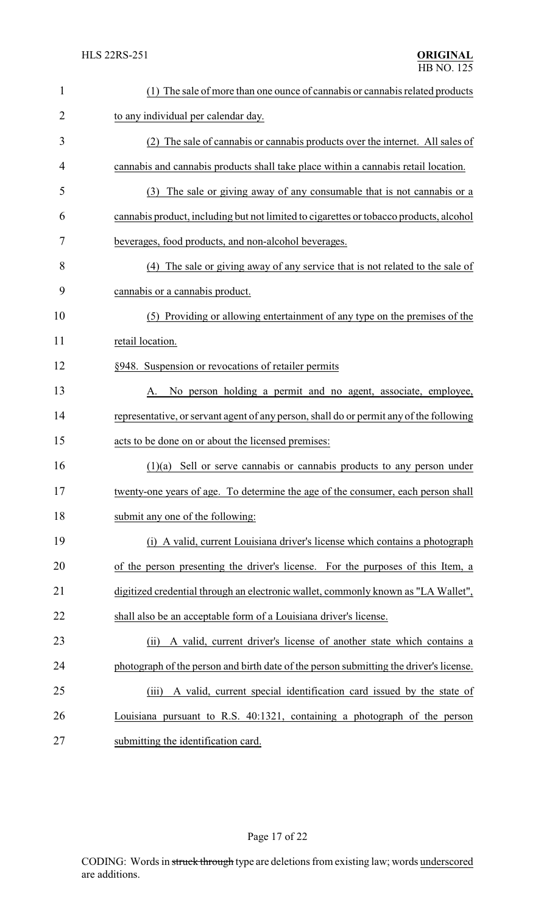| $\mathbf{1}$   | (1) The sale of more than one ounce of cannabis or cannabis related products            |  |
|----------------|-----------------------------------------------------------------------------------------|--|
| $\overline{2}$ | to any individual per calendar day.                                                     |  |
| 3              | (2) The sale of cannabis or cannabis products over the internet. All sales of           |  |
| 4              | cannabis and cannabis products shall take place within a cannabis retail location.      |  |
| 5              | (3) The sale or giving away of any consumable that is not cannabis or a                 |  |
| 6              | cannabis product, including but not limited to cigarettes or tobacco products, alcohol  |  |
| 7              | beverages, food products, and non-alcohol beverages.                                    |  |
| 8              | (4) The sale or giving away of any service that is not related to the sale of           |  |
| 9              | cannabis or a cannabis product.                                                         |  |
| 10             | (5) Providing or allowing entertainment of any type on the premises of the              |  |
| 11             | retail location.                                                                        |  |
| 12             | §948. Suspension or revocations of retailer permits                                     |  |
| 13             | No person holding a permit and no agent, associate, employee,<br>A.                     |  |
| 14             | representative, or servant agent of any person, shall do or permit any of the following |  |
| 15             | acts to be done on or about the licensed premises:                                      |  |
| 16             | $(1)(a)$ Sell or serve cannabis or cannabis products to any person under                |  |
| 17             | twenty-one years of age. To determine the age of the consumer, each person shall        |  |
| 18             | submit any one of the following:                                                        |  |
| 19             | (i) A valid, current Louisiana driver's license which contains a photograph             |  |
| 20             | of the person presenting the driver's license. For the purposes of this Item, a         |  |
| 21             | digitized credential through an electronic wallet, commonly known as "LA Wallet",       |  |
| 22             | shall also be an acceptable form of a Louisiana driver's license.                       |  |
| 23             | A valid, current driver's license of another state which contains a<br>(ii)             |  |
| 24             | photograph of the person and birth date of the person submitting the driver's license.  |  |
| 25             | A valid, current special identification card issued by the state of<br>(iii)            |  |
| 26             | Louisiana pursuant to R.S. 40:1321, containing a photograph of the person               |  |
| 27             | submitting the identification card.                                                     |  |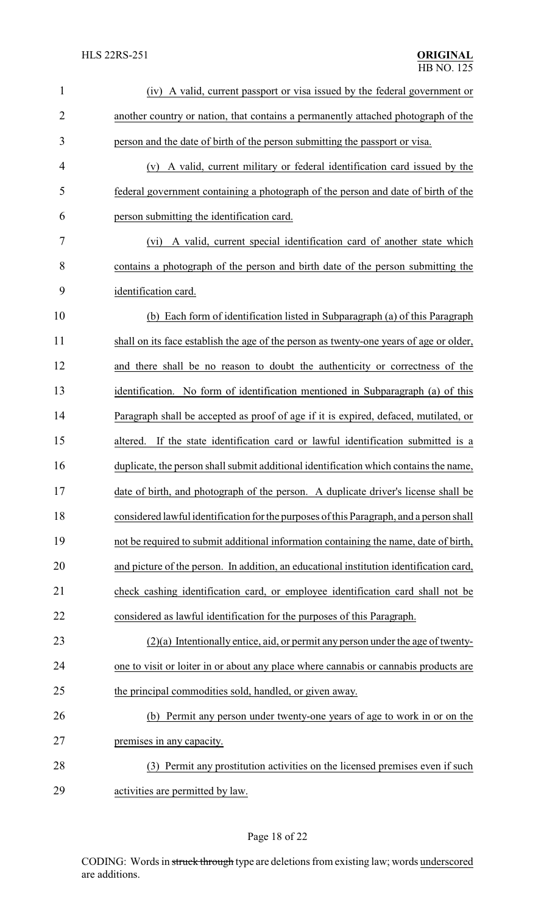| $\mathbf{1}$   | (iv) A valid, current passport or visa issued by the federal government or              |  |  |
|----------------|-----------------------------------------------------------------------------------------|--|--|
| $\overline{2}$ | another country or nation, that contains a permanently attached photograph of the       |  |  |
| 3              | person and the date of birth of the person submitting the passport or visa.             |  |  |
| 4              | (v) A valid, current military or federal identification card issued by the              |  |  |
| 5              | federal government containing a photograph of the person and date of birth of the       |  |  |
| 6              | person submitting the identification card.                                              |  |  |
| 7              | (vi) A valid, current special identification card of another state which                |  |  |
| 8              | contains a photograph of the person and birth date of the person submitting the         |  |  |
| 9              | identification card.                                                                    |  |  |
| 10             | (b) Each form of identification listed in Subparagraph (a) of this Paragraph            |  |  |
| 11             | shall on its face establish the age of the person as twenty-one years of age or older,  |  |  |
| 12             | and there shall be no reason to doubt the authenticity or correctness of the            |  |  |
| 13             | identification. No form of identification mentioned in Subparagraph (a) of this         |  |  |
| 14             | Paragraph shall be accepted as proof of age if it is expired, defaced, mutilated, or    |  |  |
| 15             | altered. If the state identification card or lawful identification submitted is a       |  |  |
| 16             | duplicate, the person shall submit additional identification which contains the name,   |  |  |
| 17             | date of birth, and photograph of the person. A duplicate driver's license shall be      |  |  |
| 18             | considered lawful identification for the purposes of this Paragraph, and a person shall |  |  |
| 19             | not be required to submit additional information containing the name, date of birth,    |  |  |
| 20             | and picture of the person. In addition, an educational institution identification card, |  |  |
| 21             | check cashing identification card, or employee identification card shall not be         |  |  |
| 22             | considered as lawful identification for the purposes of this Paragraph.                 |  |  |
| 23             | $(2)(a)$ Intentionally entice, aid, or permit any person under the age of twenty-       |  |  |
| 24             | one to visit or loiter in or about any place where cannabis or cannabis products are    |  |  |
| 25             | the principal commodities sold, handled, or given away.                                 |  |  |
| 26             | (b) Permit any person under twenty-one years of age to work in or on the                |  |  |
| 27             | premises in any capacity.                                                               |  |  |
| 28             | (3) Permit any prostitution activities on the licensed premises even if such            |  |  |
| 29             | activities are permitted by law.                                                        |  |  |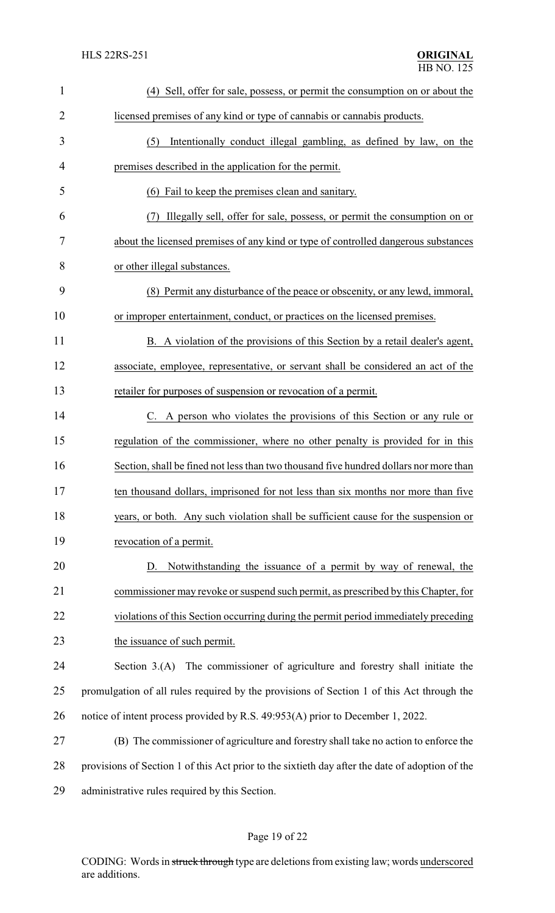| $\mathbf{1}$   | (4) Sell, offer for sale, possess, or permit the consumption on or about the                    |
|----------------|-------------------------------------------------------------------------------------------------|
| $\overline{2}$ | licensed premises of any kind or type of cannabis or cannabis products.                         |
| 3              | Intentionally conduct illegal gambling, as defined by law, on the<br>(5)                        |
| $\overline{4}$ | premises described in the application for the permit.                                           |
| 5              | (6) Fail to keep the premises clean and sanitary.                                               |
| 6              | Illegally sell, offer for sale, possess, or permit the consumption on or                        |
| 7              | about the licensed premises of any kind or type of controlled dangerous substances              |
| 8              | or other illegal substances.                                                                    |
| 9              | (8) Permit any disturbance of the peace or obscenity, or any lewd, immoral,                     |
| 10             | or improper entertainment, conduct, or practices on the licensed premises.                      |
| 11             | B. A violation of the provisions of this Section by a retail dealer's agent,                    |
| 12             | associate, employee, representative, or servant shall be considered an act of the               |
| 13             | retailer for purposes of suspension or revocation of a permit.                                  |
| 14             | C. A person who violates the provisions of this Section or any rule or                          |
| 15             | regulation of the commissioner, where no other penalty is provided for in this                  |
| 16             | Section, shall be fined not less than two thousand five hundred dollars nor more than           |
| 17             | ten thousand dollars, imprisoned for not less than six months nor more than five                |
| 18             | years, or both. Any such violation shall be sufficient cause for the suspension or              |
| 19             | revocation of a permit.                                                                         |
| 20             | Notwithstanding the issuance of a permit by way of renewal, the<br>D.                           |
| 21             | commissioner may revoke or suspend such permit, as prescribed by this Chapter, for              |
| 22             | violations of this Section occurring during the permit period immediately preceding             |
| 23             | the issuance of such permit.                                                                    |
| 24             | Section 3.(A) The commissioner of agriculture and forestry shall initiate the                   |
| 25             | promulgation of all rules required by the provisions of Section 1 of this Act through the       |
| 26             | notice of intent process provided by R.S. 49:953(A) prior to December 1, 2022.                  |
| 27             | (B) The commissioner of agriculture and forestry shall take no action to enforce the            |
| 28             | provisions of Section 1 of this Act prior to the sixtieth day after the date of adoption of the |
| 29             | administrative rules required by this Section.                                                  |

# Page 19 of 22

CODING: Words in struck through type are deletions from existing law; words underscored are additions.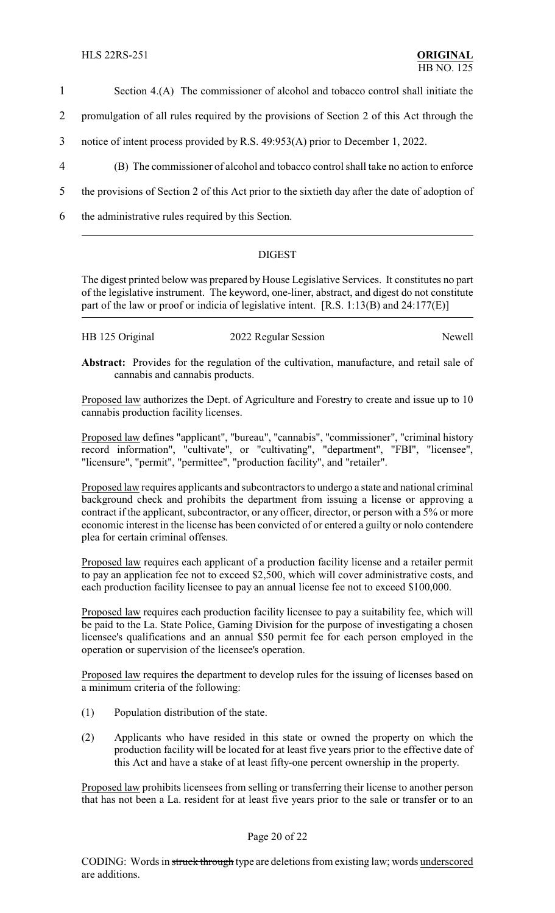1 Section 4.(A) The commissioner of alcohol and tobacco control shall initiate the

2 promulgation of all rules required by the provisions of Section 2 of this Act through the

- 3 notice of intent process provided by R.S. 49:953(A) prior to December 1, 2022.
- 4 (B) The commissioner of alcohol and tobacco control shall take no action to enforce
- 5 the provisions of Section 2 of this Act prior to the sixtieth day after the date of adoption of
- 6 the administrative rules required by this Section.

### DIGEST

The digest printed below was prepared by House Legislative Services. It constitutes no part of the legislative instrument. The keyword, one-liner, abstract, and digest do not constitute part of the law or proof or indicia of legislative intent. [R.S. 1:13(B) and 24:177(E)]

| HB 125 Original | 2022 Regular Session | Newell |
|-----------------|----------------------|--------|
|-----------------|----------------------|--------|

**Abstract:** Provides for the regulation of the cultivation, manufacture, and retail sale of cannabis and cannabis products.

Proposed law authorizes the Dept. of Agriculture and Forestry to create and issue up to 10 cannabis production facility licenses.

Proposed law defines "applicant", "bureau", "cannabis", "commissioner", "criminal history record information", "cultivate", or "cultivating", "department", "FBI", "licensee", "licensure", "permit", "permittee", "production facility", and "retailer".

Proposed law requires applicants and subcontractors to undergo a state and national criminal background check and prohibits the department from issuing a license or approving a contract if the applicant, subcontractor, or any officer, director, or person with a 5% or more economic interest in the license has been convicted of or entered a guilty or nolo contendere plea for certain criminal offenses.

Proposed law requires each applicant of a production facility license and a retailer permit to pay an application fee not to exceed \$2,500, which will cover administrative costs, and each production facility licensee to pay an annual license fee not to exceed \$100,000.

Proposed law requires each production facility licensee to pay a suitability fee, which will be paid to the La. State Police, Gaming Division for the purpose of investigating a chosen licensee's qualifications and an annual \$50 permit fee for each person employed in the operation or supervision of the licensee's operation.

Proposed law requires the department to develop rules for the issuing of licenses based on a minimum criteria of the following:

- (1) Population distribution of the state.
- (2) Applicants who have resided in this state or owned the property on which the production facility will be located for at least five years prior to the effective date of this Act and have a stake of at least fifty-one percent ownership in the property.

Proposed law prohibits licensees from selling or transferring their license to another person that has not been a La. resident for at least five years prior to the sale or transfer or to an

Page 20 of 22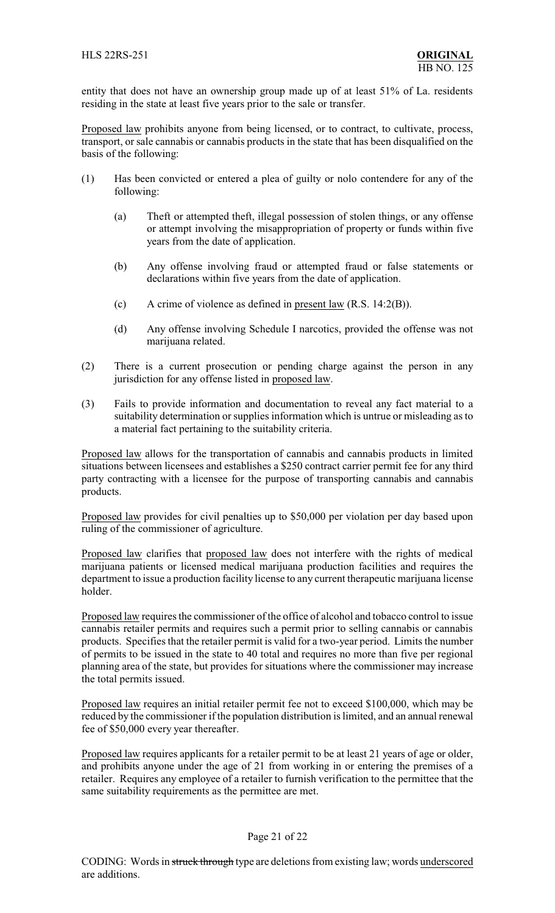entity that does not have an ownership group made up of at least 51% of La. residents residing in the state at least five years prior to the sale or transfer.

Proposed law prohibits anyone from being licensed, or to contract, to cultivate, process, transport, or sale cannabis or cannabis products in the state that has been disqualified on the basis of the following:

- (1) Has been convicted or entered a plea of guilty or nolo contendere for any of the following:
	- (a) Theft or attempted theft, illegal possession of stolen things, or any offense or attempt involving the misappropriation of property or funds within five years from the date of application.
	- (b) Any offense involving fraud or attempted fraud or false statements or declarations within five years from the date of application.
	- (c) A crime of violence as defined in present law (R.S. 14:2(B)).
	- (d) Any offense involving Schedule I narcotics, provided the offense was not marijuana related.
- (2) There is a current prosecution or pending charge against the person in any jurisdiction for any offense listed in proposed law.
- (3) Fails to provide information and documentation to reveal any fact material to a suitability determination or supplies information which is untrue or misleading as to a material fact pertaining to the suitability criteria.

Proposed law allows for the transportation of cannabis and cannabis products in limited situations between licensees and establishes a \$250 contract carrier permit fee for any third party contracting with a licensee for the purpose of transporting cannabis and cannabis products.

Proposed law provides for civil penalties up to \$50,000 per violation per day based upon ruling of the commissioner of agriculture.

Proposed law clarifies that proposed law does not interfere with the rights of medical marijuana patients or licensed medical marijuana production facilities and requires the department to issue a production facility license to any current therapeutic marijuana license holder.

Proposed law requires the commissioner of the office of alcohol and tobacco control to issue cannabis retailer permits and requires such a permit prior to selling cannabis or cannabis products. Specifies that the retailer permit is valid for a two-year period. Limits the number of permits to be issued in the state to 40 total and requires no more than five per regional planning area of the state, but provides for situations where the commissioner may increase the total permits issued.

Proposed law requires an initial retailer permit fee not to exceed \$100,000, which may be reduced by the commissioner if the population distribution is limited, and an annual renewal fee of \$50,000 every year thereafter.

Proposed law requires applicants for a retailer permit to be at least 21 years of age or older, and prohibits anyone under the age of 21 from working in or entering the premises of a retailer. Requires any employee of a retailer to furnish verification to the permittee that the same suitability requirements as the permittee are met.

#### Page 21 of 22